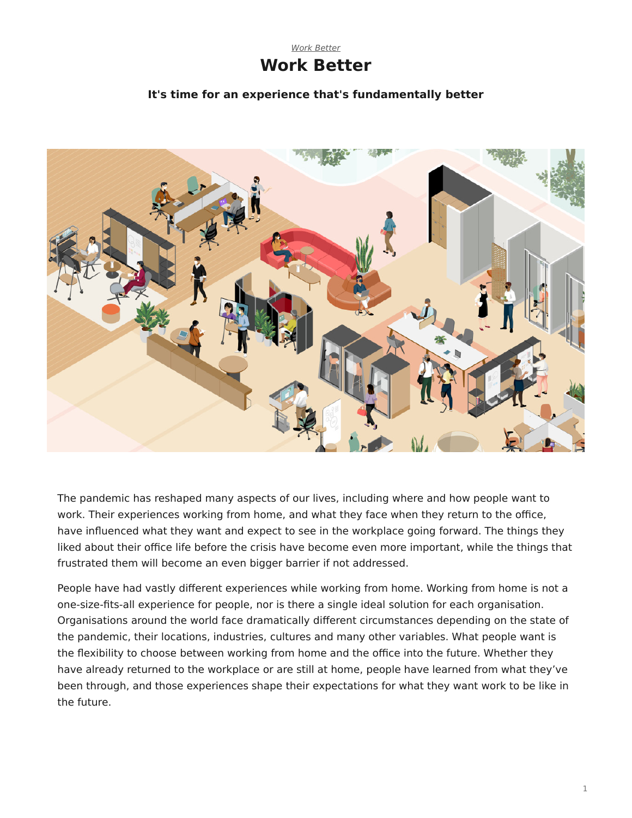#### [Work Better](https://www.steelcase.com/asia-en/research/topics/work-better/) **Work Better**

#### **It's time for an experience that's fundamentally better**



The pandemic has reshaped many aspects of our lives, including where and how people want to work. Their experiences working from home, and what they face when they return to the office, have influenced what they want and expect to see in the workplace going forward. The things they liked about their office life before the crisis have become even more important, while the things that frustrated them will become an even bigger barrier if not addressed.

People have had vastly different experiences while working from home. Working from home is not a one-size-fits-all experience for people, nor is there a single ideal solution for each organisation. Organisations around the world face dramatically different circumstances depending on the state of the pandemic, their locations, industries, cultures and many other variables. What people want is the flexibility to choose between working from home and the office into the future. Whether they have already returned to the workplace or are still at home, people have learned from what they've been through, and those experiences shape their expectations for what they want work to be like in the future.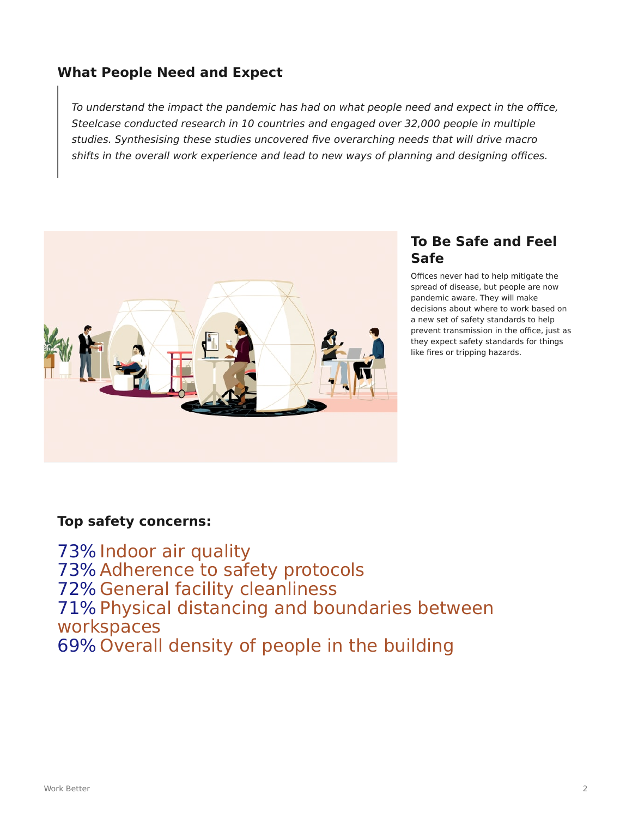# **What People Need and Expect**

To understand the impact the pandemic has had on what people need and expect in the office, Steelcase conducted research in 10 countries and engaged over 32,000 people in multiple studies. Synthesising these studies uncovered five overarching needs that will drive macro shifts in the overall work experience and lead to new ways of planning and designing offices.



## **To Be Safe and Feel Safe**

Offices never had to help mitigate the spread of disease, but people are now pandemic aware. They will make decisions about where to work based on a new set of safety standards to help prevent transmission in the office, just as they expect safety standards for things like fires or tripping hazards.

#### **Top safety concerns:**

73% Indoor air quality 73% Adherence to safety protocols 72% General facility cleanliness 71% Physical distancing and boundaries between workspaces 69% Overall density of people in the building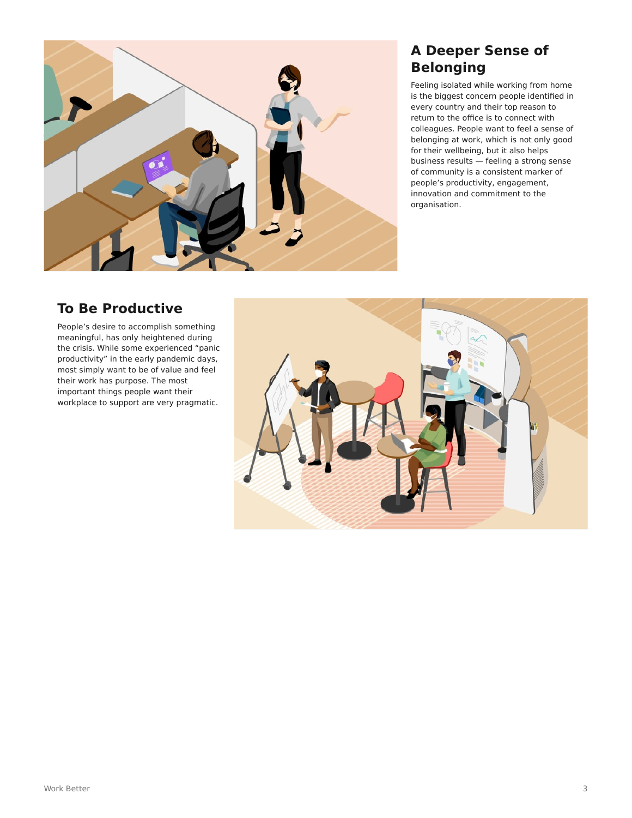

# **A Deeper Sense of Belonging**

Feeling isolated while working from home is the biggest concern people identified in every country and their top reason to return to the office is to connect with colleagues. People want to feel a sense of belonging at work, which is not only good for their wellbeing, but it also helps business results — feeling a strong sense of community is a consistent marker of people's productivity, engagement, innovation and commitment to the organisation.

# **To Be Productive**

People's desire to accomplish something meaningful, has only heightened during the crisis. While some experienced "panic productivity" in the early pandemic days, most simply want to be of value and feel their work has purpose. The most important things people want their workplace to support are very pragmatic.

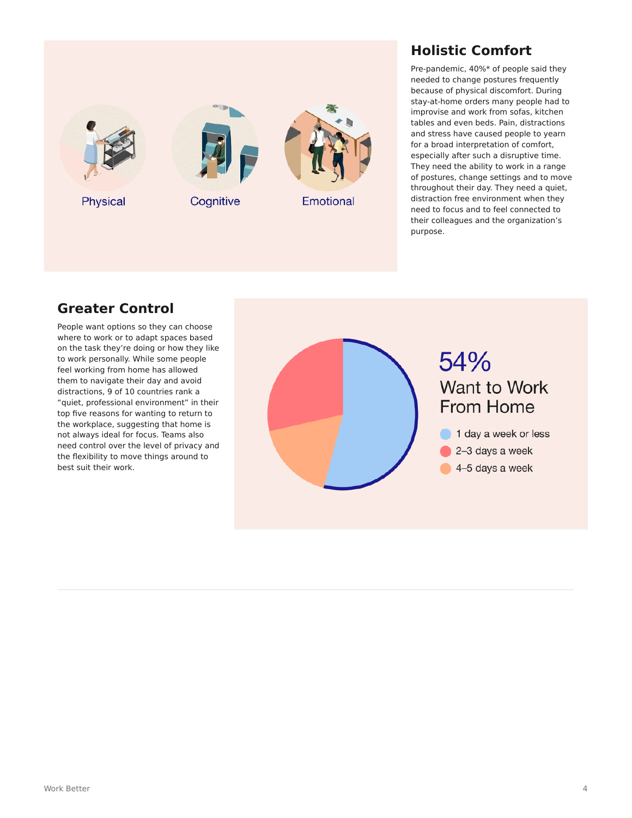

# **Holistic Comfort**

Pre-pandemic, 40%\* of people said they needed to change postures frequently because of physical discomfort. During stay-at-home orders many people had to improvise and work from sofas, kitchen tables and even beds. Pain, distractions and stress have caused people to yearn for a broad interpretation of comfort, especially after such a disruptive time. They need the ability to work in a range of postures, change settings and to move throughout their day. They need a quiet, distraction free environment when they need to focus and to feel connected to their colleagues and the organization's purpose.

# **Greater Control**

People want options so they can choose where to work or to adapt spaces based on the task they're doing or how they like to work personally. While some people feel working from home has allowed them to navigate their day and avoid distractions, 9 of 10 countries rank a "quiet, professional environment" in their top five reasons for wanting to return to the workplace, suggesting that home is not always ideal for focus. Teams also need control over the level of privacy and the flexibility to move things around to best suit their work.

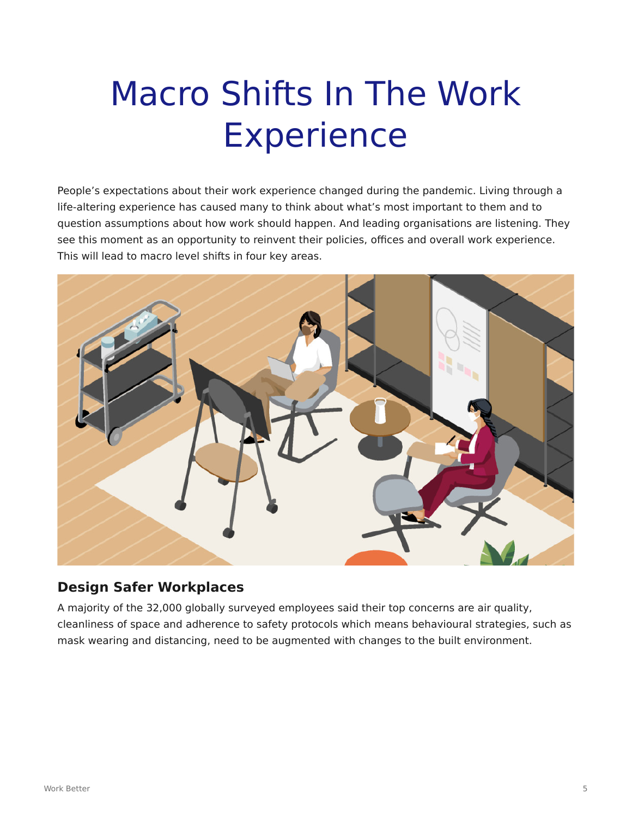# Macro Shifts In The Work Experience

People's expectations about their work experience changed during the pandemic. Living through a life-altering experience has caused many to think about what's most important to them and to question assumptions about how work should happen. And leading organisations are listening. They see this moment as an opportunity to reinvent their policies, offices and overall work experience. This will lead to macro level shifts in four key areas.



### **Design Safer Workplaces**

A majority of the 32,000 globally surveyed employees said their top concerns are air quality, cleanliness of space and adherence to safety protocols which means behavioural strategies, such as mask wearing and distancing, need to be augmented with changes to the built environment.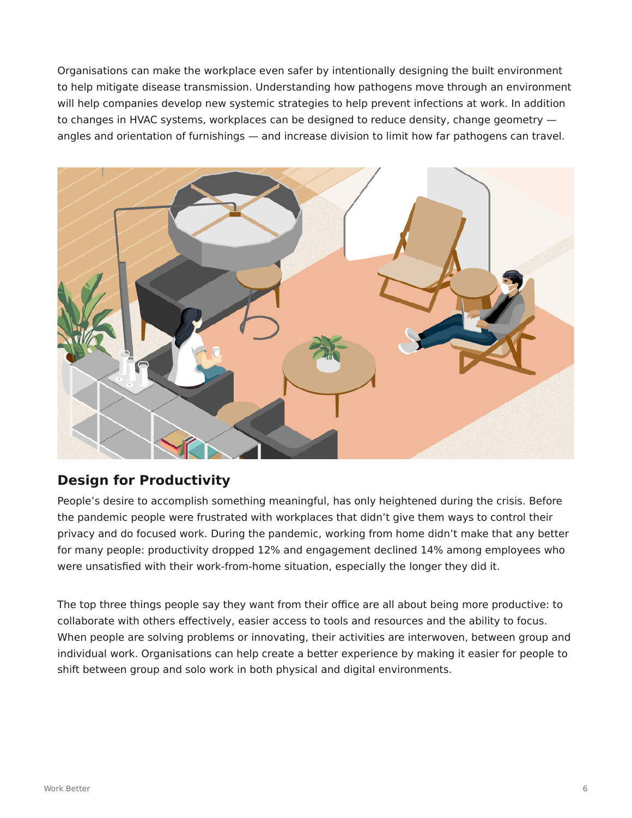Organisations can make the workplace even safer by intentionally designing the built environment to help mitigate disease transmission. Understanding how pathogens move through an environment will help companies develop new systemic strategies to help prevent infections at work. In addition to changes in HVAC systems, workplaces can be designed to reduce density, change geometry angles and orientation of furnishings — and increase division to limit how far pathogens can travel.



# **Design for Productivity**

People's desire to accomplish something meaningful, has only heightened during the crisis. Before the pandemic people were frustrated with workplaces that didn't give them ways to control their privacy and do focused work. During the pandemic, working from home didn't make that any better for many people: productivity dropped 12% and engagement declined 14% among employees who were unsatisfied with their work-from-home situation, especially the longer they did it.

The top three things people say they want from their office are all about being more productive: to collaborate with others effectively, easier access to tools and resources and the ability to focus. When people are solving problems or innovating, their activities are interwoven, between group and individual work. Organisations can help create a better experience by making it easier for people to shift between group and solo work in both physical and digital environments.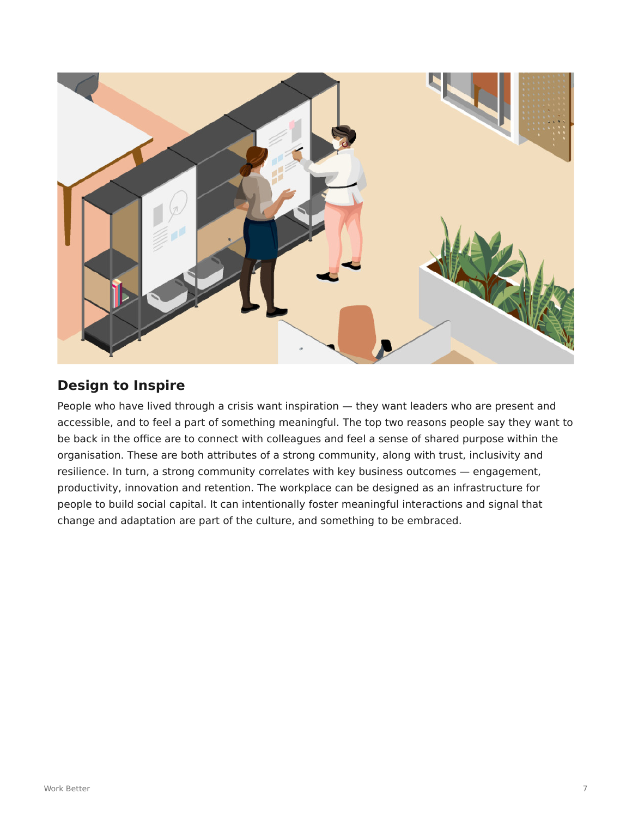

# **Design to Inspire**

People who have lived through a crisis want inspiration — they want leaders who are present and accessible, and to feel a part of something meaningful. The top two reasons people say they want to be back in the office are to connect with colleagues and feel a sense of shared purpose within the organisation. These are both attributes of a strong community, along with trust, inclusivity and resilience. In turn, a strong community correlates with key business outcomes — engagement, productivity, innovation and retention. The workplace can be designed as an infrastructure for people to build social capital. It can intentionally foster meaningful interactions and signal that change and adaptation are part of the culture, and something to be embraced.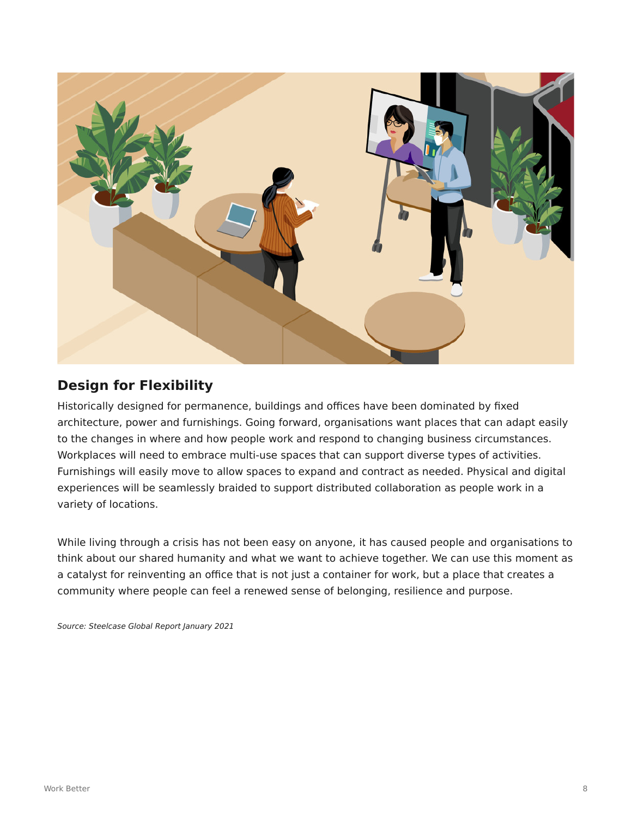

# **Design for Flexibility**

Historically designed for permanence, buildings and offices have been dominated by fixed architecture, power and furnishings. Going forward, organisations want places that can adapt easily to the changes in where and how people work and respond to changing business circumstances. Workplaces will need to embrace multi-use spaces that can support diverse types of activities. Furnishings will easily move to allow spaces to expand and contract as needed. Physical and digital experiences will be seamlessly braided to support distributed collaboration as people work in a variety of locations.

While living through a crisis has not been easy on anyone, it has caused people and organisations to think about our shared humanity and what we want to achieve together. We can use this moment as a catalyst for reinventing an office that is not just a container for work, but a place that creates a community where people can feel a renewed sense of belonging, resilience and purpose.

Source: Steelcase Global Report January 2021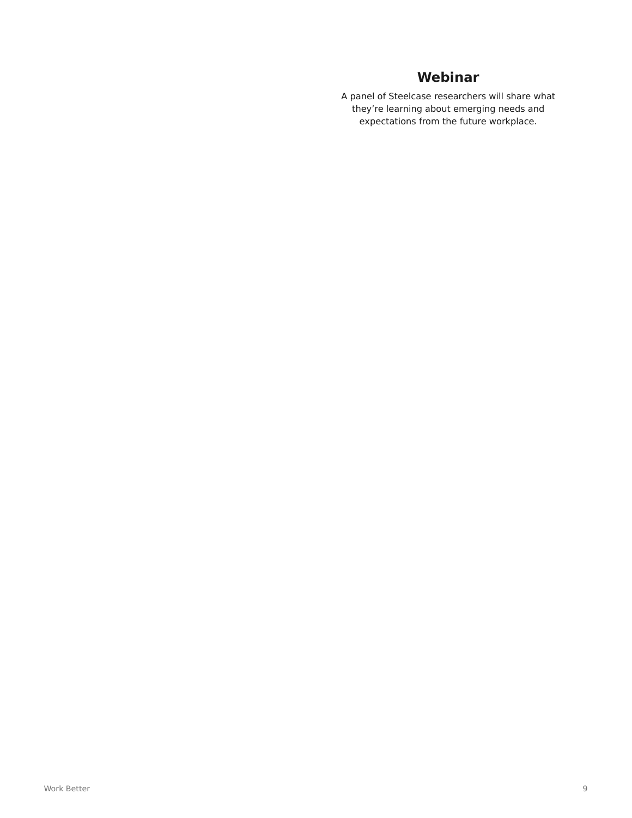# **Webinar**

A panel of Steelcase researchers will share what they're learning about emerging needs and expectations from the future workplace.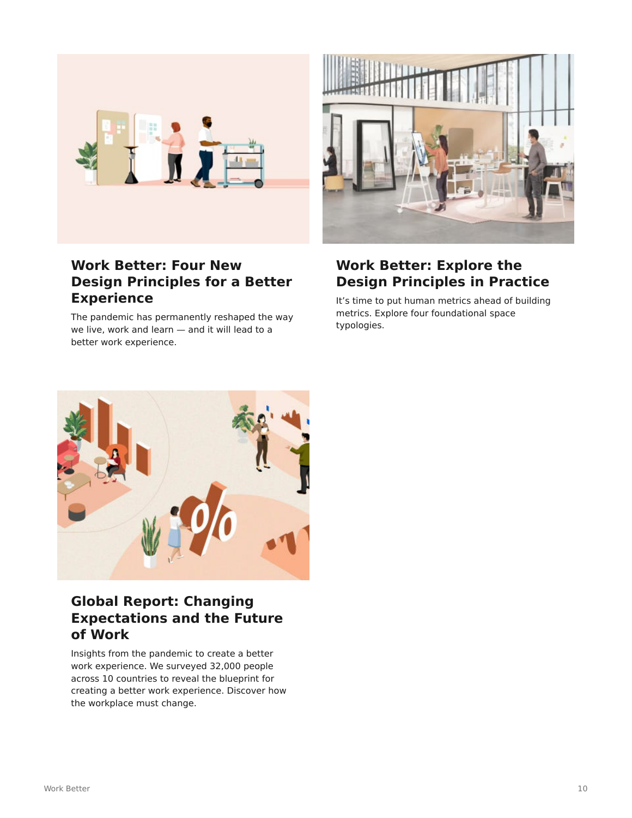

# **Work Better: Four New Design Principles for a Better Experience**

The pandemic has permanently reshaped the way we live, work and learn — and it will lead to a better work experience.



# **Work Better: Explore the Design Principles in Practice**

It's time to put human metrics ahead of building metrics. Explore four foundational space typologies.



# **Global Report: Changing Expectations and the Future of Work**

Insights from the pandemic to create a better work experience. We surveyed 32,000 people across 10 countries to reveal the blueprint for creating a better work experience. Discover how the workplace must change.